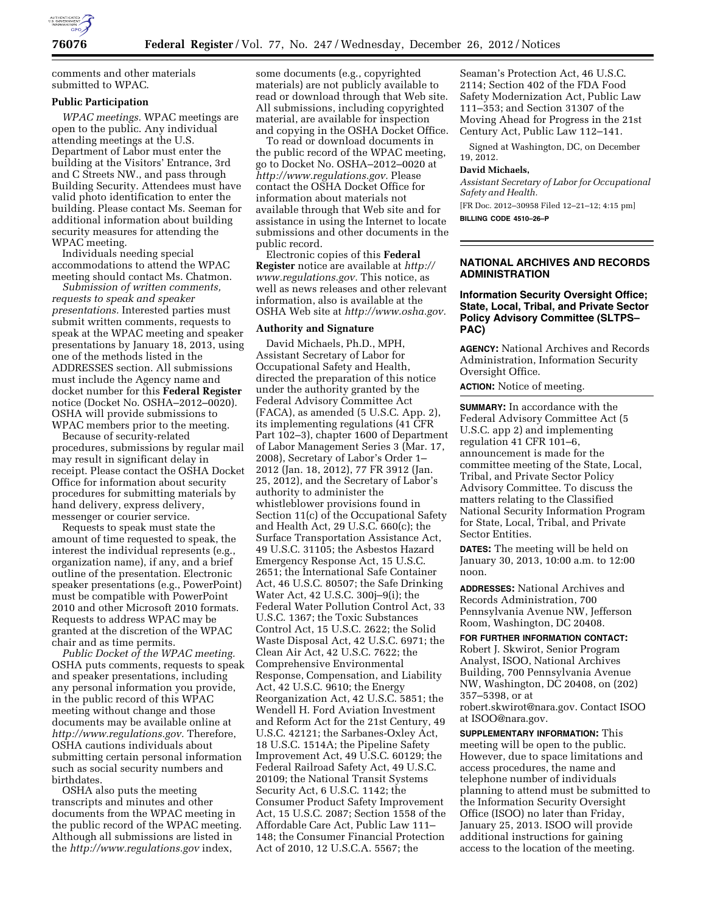

comments and other materials submitted to WPAC.

#### **Public Participation**

*WPAC meetings.* WPAC meetings are open to the public. Any individual attending meetings at the U.S. Department of Labor must enter the building at the Visitors' Entrance, 3rd and C Streets NW., and pass through Building Security. Attendees must have valid photo identification to enter the building. Please contact Ms. Seeman for additional information about building security measures for attending the WPAC meeting.

Individuals needing special accommodations to attend the WPAC meeting should contact Ms. Chatmon.

*Submission of written comments, requests to speak and speaker presentations.* Interested parties must submit written comments, requests to speak at the WPAC meeting and speaker presentations by January 18, 2013, using one of the methods listed in the ADDRESSES section. All submissions must include the Agency name and docket number for this **Federal Register**  notice (Docket No. OSHA–2012–0020). OSHA will provide submissions to WPAC members prior to the meeting.

Because of security-related procedures, submissions by regular mail may result in significant delay in receipt. Please contact the OSHA Docket Office for information about security procedures for submitting materials by hand delivery, express delivery, messenger or courier service.

Requests to speak must state the amount of time requested to speak, the interest the individual represents (e.g., organization name), if any, and a brief outline of the presentation. Electronic speaker presentations (e.g., PowerPoint) must be compatible with PowerPoint 2010 and other Microsoft 2010 formats. Requests to address WPAC may be granted at the discretion of the WPAC chair and as time permits.

*Public Docket of the WPAC meeting.*  OSHA puts comments, requests to speak and speaker presentations, including any personal information you provide, in the public record of this WPAC meeting without change and those documents may be available online at *[http://www.regulations.gov.](http://www.regulations.gov)* Therefore, OSHA cautions individuals about submitting certain personal information such as social security numbers and birthdates.

OSHA also puts the meeting transcripts and minutes and other documents from the WPAC meeting in the public record of the WPAC meeting. Although all submissions are listed in the *<http://www.regulations.gov>*index,

some documents (e.g., copyrighted materials) are not publicly available to read or download through that Web site. All submissions, including copyrighted material, are available for inspection and copying in the OSHA Docket Office.

To read or download documents in the public record of the WPAC meeting, go to Docket No. OSHA–2012–0020 at *[http://www.regulations.gov.](http://www.regulations.gov)* Please contact the OSHA Docket Office for information about materials not available through that Web site and for assistance in using the Internet to locate submissions and other documents in the public record.

Electronic copies of this **Federal Register** notice are available at *[http://](http://www.regulations.gov) [www.regulations.gov.](http://www.regulations.gov)* This notice, as well as news releases and other relevant information, also is available at the OSHA Web site at *[http://www.osha.gov.](http://www.osha.gov)* 

#### **Authority and Signature**

David Michaels, Ph.D., MPH, Assistant Secretary of Labor for Occupational Safety and Health, directed the preparation of this notice under the authority granted by the Federal Advisory Committee Act (FACA), as amended (5 U.S.C. App. 2), its implementing regulations (41 CFR Part 102–3), chapter 1600 of Department of Labor Management Series 3 (Mar. 17, 2008), Secretary of Labor's Order 1– 2012 (Jan. 18, 2012), 77 FR 3912 (Jan. 25, 2012), and the Secretary of Labor's authority to administer the whistleblower provisions found in Section 11(c) of the Occupational Safety and Health Act, 29 U.S.C. 660(c); the Surface Transportation Assistance Act, 49 U.S.C. 31105; the Asbestos Hazard Emergency Response Act, 15 U.S.C. 2651; the International Safe Container Act, 46 U.S.C. 80507; the Safe Drinking Water Act, 42 U.S.C. 300j–9(i); the Federal Water Pollution Control Act, 33 U.S.C. 1367; the Toxic Substances Control Act, 15 U.S.C. 2622; the Solid Waste Disposal Act, 42 U.S.C. 6971; the Clean Air Act, 42 U.S.C. 7622; the Comprehensive Environmental Response, Compensation, and Liability Act, 42 U.S.C. 9610; the Energy Reorganization Act, 42 U.S.C. 5851; the Wendell H. Ford Aviation Investment and Reform Act for the 21st Century, 49 U.S.C. 42121; the Sarbanes-Oxley Act, 18 U.S.C. 1514A; the Pipeline Safety Improvement Act, 49 U.S.C. 60129; the Federal Railroad Safety Act, 49 U.S.C. 20109; the National Transit Systems Security Act, 6 U.S.C. 1142; the Consumer Product Safety Improvement Act, 15 U.S.C. 2087; Section 1558 of the Affordable Care Act, Public Law 111– 148; the Consumer Financial Protection Act of 2010, 12 U.S.C.A. 5567; the

Seaman's Protection Act, 46 U.S.C. 2114; Section 402 of the FDA Food Safety Modernization Act, Public Law 111–353; and Section 31307 of the Moving Ahead for Progress in the 21st Century Act, Public Law 112–141.

Signed at Washington, DC, on December 19, 2012.

#### **David Michaels,**

*Assistant Secretary of Labor for Occupational Safety and Health.* 

[FR Doc. 2012–30958 Filed 12–21–12; 4:15 pm] **BILLING CODE 4510–26–P** 

#### **NATIONAL ARCHIVES AND RECORDS ADMINISTRATION**

### **Information Security Oversight Office; State, Local, Tribal, and Private Sector Policy Advisory Committee (SLTPS– PAC)**

**AGENCY:** National Archives and Records Administration, Information Security Oversight Office.

**ACTION:** Notice of meeting.

**SUMMARY:** In accordance with the Federal Advisory Committee Act (5 U.S.C. app 2) and implementing regulation 41 CFR 101–6, announcement is made for the committee meeting of the State, Local, Tribal, and Private Sector Policy Advisory Committee. To discuss the matters relating to the Classified National Security Information Program for State, Local, Tribal, and Private Sector Entities.

**DATES:** The meeting will be held on January 30, 2013, 10:00 a.m. to 12:00 noon.

**ADDRESSES:** National Archives and Records Administration, 700 Pennsylvania Avenue NW, Jefferson Room, Washington, DC 20408.

**FOR FURTHER INFORMATION CONTACT:**  Robert J. Skwirot, Senior Program Analyst, ISOO, National Archives Building, 700 Pennsylvania Avenue NW, Washington, DC 20408, on (202) 357–5398, or at robert.skwirot@nara.gov. Contact ISOO at [ISOO@nara.gov.](mailto:ISOO@nara.gov) 

**SUPPLEMENTARY INFORMATION:** This meeting will be open to the public. However, due to space limitations and access procedures, the name and telephone number of individuals planning to attend must be submitted to the Information Security Oversight Office (ISOO) no later than Friday, January 25, 2013. ISOO will provide additional instructions for gaining access to the location of the meeting.